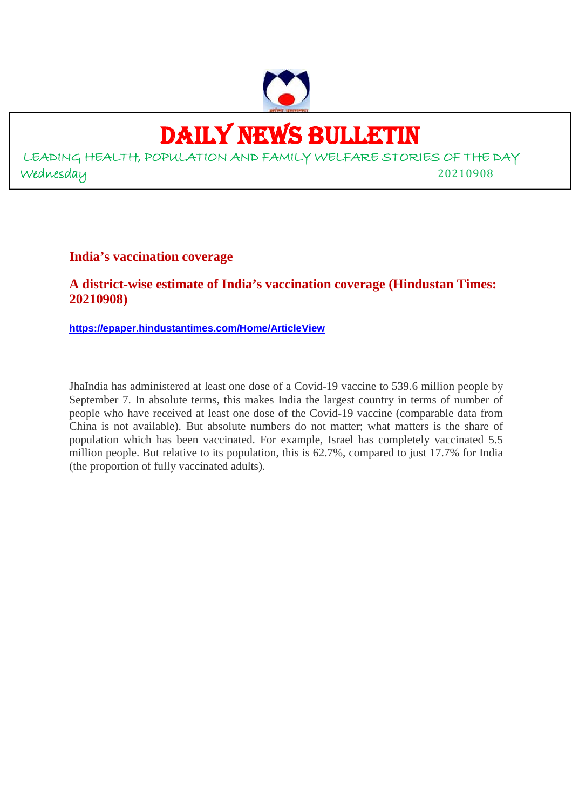

## DAILY NEWS BULLETIN

LEADING HEALTH, POPULATION AND FAMILY WELFARE STORIES OF THE DAY Wednesday 20210908

**India's vaccination coverage**

**A district-wise estimate of India's vaccination coverage (Hindustan Times: 20210908)**

**https://epaper.hindustantimes.com/Home/ArticleView**

JhaIndia has administered at least one dose of a Covid-19 vaccine to 539.6 million people by September 7. In absolute terms, this makes India the largest country in terms of number of people who have received at least one dose of the Covid-19 vaccine (comparable data from China is not available). But absolute numbers do not matter; what matters is the share of population which has been vaccinated. For example, Israel has completely vaccinated 5.5 million people. But relative to its population, this is 62.7%, compared to just 17.7% for India (the proportion of fully vaccinated adults).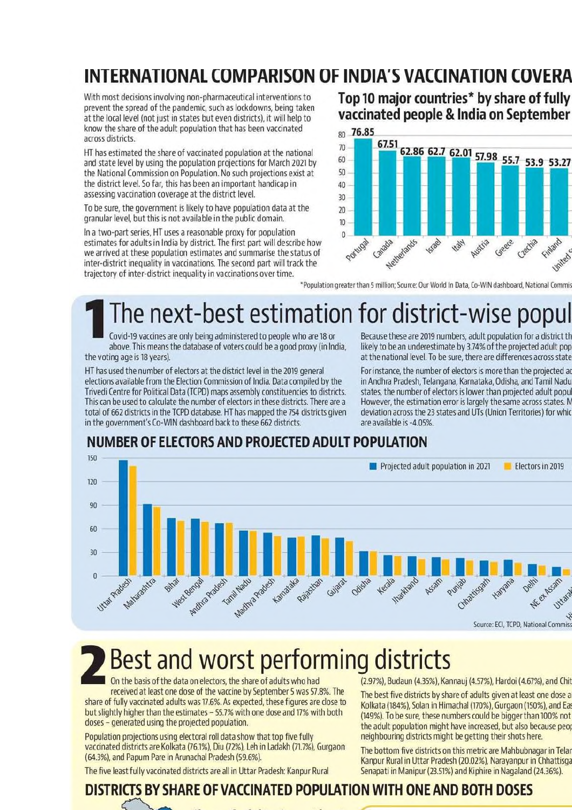## INTERNATIONAL COMPARISON OF INDIA'S VACCINATION COVERA

With most decisions involving non-pharmaceutical interventions to prevent the spread of the pandemic, such as lockdowns, being taken at the local level (not just in states but even districts), it will help to know the share of the adult population that has been vaccinated across districts.

HT has estimated the share of vaccinated population at the national and state level by using the population projections for March 2021 by the National Commission on Population. No such projections exist at the district level. So far, this has been an important handicap in assessing vaccination coverage at the district level.

To be sure, the government is likely to have population data at the granular level, but this is not available in the public domain.

In a two-part series. HT uses a reasonable proxy for population estimates for adults in India by district. The first part will describe how we arrived at these population estimates and summarise the status of inter-district inequality in vaccinations. The second part will track the trajectory of inter-district inequality in vaccinations over time.

Top 10 major countries\* by share of fully vaccinated people & India on September



\*Population greater than 5 million; Source: Our World In Data, Co-WIN dashboard, National Commis

## The next-best estimation for district-wise popul

Covid-19 vaccines are only being administered to people who are 18 or above. This means the database of voters could be a good proxy (in India, the voting age is 18 years).

HT has used the number of electors at the district level in the 2019 general elections available from the Election Commission of India. Data compiled by the Trivedi Centre for Political Data (TCPD) maps assembly constituencies to districts. This can be used to calculate the number of electors in these districts. There are a total of 662 districts in the TCPD database. HT has mapped the 754 districts given in the government's Co-WIN dashboard back to these 662 districts.

Because these are 2019 numbers, adult population for a district th likely to be an underestimate by 3.74% of the projected adult pop at the national level. To be sure, there are differences across state

For instance, the number of electors is more than the projected ad in Andhra Pradesh, Telangana, Karnataka, Odisha, and Tamil Nadu states, the number of electors is lower than projected adult popul However, the estimation error is largely the same across states. M deviation across the 23 states and UTs (Union Territories) for whic are available is -4.05%.

## NUMBER OF ELECTORS AND PROJECTED ADULT POPULATION



# **Best and worst performing districts**

On the basis of the data on electors, the share of adults who had received at least one dose of the vaccine by September 5 was 57.8%. The

share of fully vaccinated adults was 17.6%. As expected, these figures are close to but slightly higher than the estimates - 55.7% with one dose and 17% with both doses - generated using the projected population.

Population projections using electoral roll data show that top five fully vaccinated districts are Kolkata (76.1%), Diu (72%), Leh in Ladakh (71.7%), Gurgaon (64.3%), and Papum Pare in Arunachal Pradesh (59.6%).

The five least fully vaccinated districts are all in Uttar Pradesh: Kanpur Rural

(2.97%), Budaun (4.35%), Kannauj (4.57%), Hardoi (4.67%), and Chit

The best five districts by share of adults given at least one dose a Kolkata (184%), Solan in Himachal (170%), Gurgaon (150%), and Eas (149%). To be sure, these numbers could be bigger than 100% not the adult population might have increased, but also because peop neighbouring districts might be getting their shots here.

The bottom five districts on this metric are Mahbubnagar in Telar Kanpur Rural in Uttar Pradesh (20.02%), Narayanpur in Chhattisga Senapati in Manipur (23.51%) and Kiphire in Nagaland (24.36%).

## DISTRICTS BY SHARE OF VACCINATED POPULATION WITH ONE AND BOTH DOSES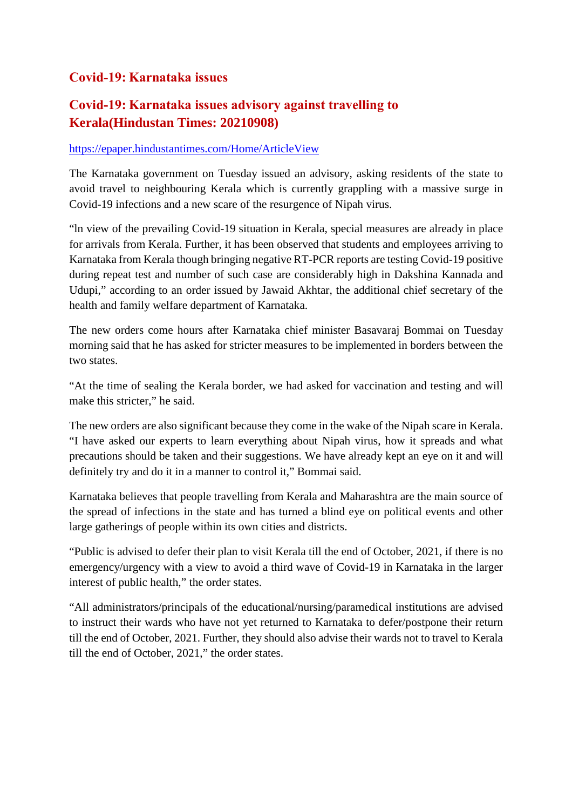#### **Covid-19: Karnataka issues**

## **Covid-19: Karnataka issues advisory against travelling to Kerala(Hindustan Times: 20210908)**

#### https://epaper.hindustantimes.com/Home/ArticleView

The Karnataka government on Tuesday issued an advisory, asking residents of the state to avoid travel to neighbouring Kerala which is currently grappling with a massive surge in Covid-19 infections and a new scare of the resurgence of Nipah virus.

"ln view of the prevailing Covid-19 situation in Kerala, special measures are already in place for arrivals from Kerala. Further, it has been observed that students and employees arriving to Karnataka from Kerala though bringing negative RT-PCR reports are testing Covid-19 positive during repeat test and number of such case are considerably high in Dakshina Kannada and Udupi," according to an order issued by Jawaid Akhtar, the additional chief secretary of the health and family welfare department of Karnataka.

The new orders come hours after Karnataka chief minister Basavaraj Bommai on Tuesday morning said that he has asked for stricter measures to be implemented in borders between the two states.

"At the time of sealing the Kerala border, we had asked for vaccination and testing and will make this stricter," he said.

The new orders are also significant because they come in the wake of the Nipah scare in Kerala. "I have asked our experts to learn everything about Nipah virus, how it spreads and what precautions should be taken and their suggestions. We have already kept an eye on it and will definitely try and do it in a manner to control it," Bommai said.

Karnataka believes that people travelling from Kerala and Maharashtra are the main source of the spread of infections in the state and has turned a blind eye on political events and other large gatherings of people within its own cities and districts.

"Public is advised to defer their plan to visit Kerala till the end of October, 2021, if there is no emergency/urgency with a view to avoid a third wave of Covid-19 in Karnataka in the larger interest of public health," the order states.

"All administrators/principals of the educational/nursing/paramedical institutions are advised to instruct their wards who have not yet returned to Karnataka to defer/postpone their return till the end of October, 2021. Further, they should also advise their wards not to travel to Kerala till the end of October, 2021," the order states.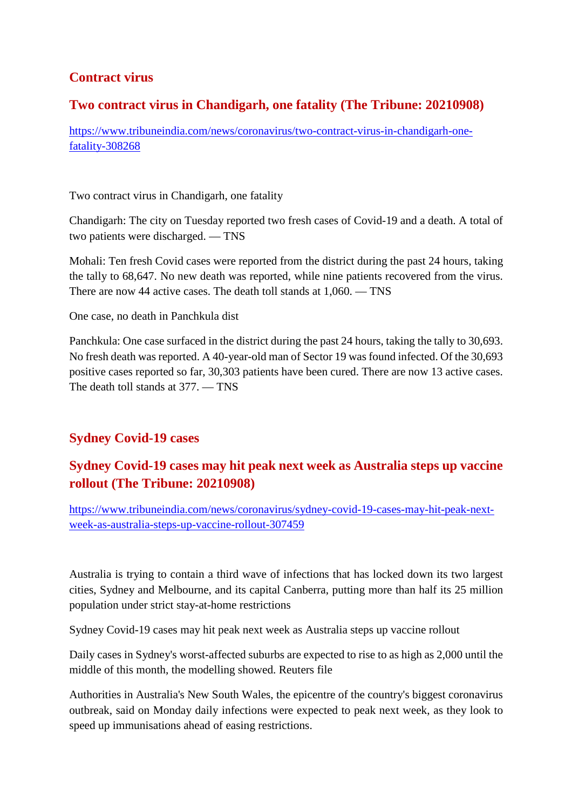## **Contract virus**

#### **Two contract virus in Chandigarh, one fatality (The Tribune: 20210908)**

https://www.tribuneindia.com/news/coronavirus/two-contract-virus-in-chandigarh-onefatality-308268

Two contract virus in Chandigarh, one fatality

Chandigarh: The city on Tuesday reported two fresh cases of Covid-19 and a death. A total of two patients were discharged. — TNS

Mohali: Ten fresh Covid cases were reported from the district during the past 24 hours, taking the tally to 68,647. No new death was reported, while nine patients recovered from the virus. There are now 44 active cases. The death toll stands at 1,060. — TNS

One case, no death in Panchkula dist

Panchkula: One case surfaced in the district during the past 24 hours, taking the tally to 30,693. No fresh death was reported. A 40-year-old man of Sector 19 was found infected. Of the 30,693 positive cases reported so far, 30,303 patients have been cured. There are now 13 active cases. The death toll stands at 377. — TNS

## **Sydney Covid-19 cases**

## **Sydney Covid-19 cases may hit peak next week as Australia steps up vaccine rollout (The Tribune: 20210908)**

https://www.tribuneindia.com/news/coronavirus/sydney-covid-19-cases-may-hit-peak-nextweek-as-australia-steps-up-vaccine-rollout-307459

Australia is trying to contain a third wave of infections that has locked down its two largest cities, Sydney and Melbourne, and its capital Canberra, putting more than half its 25 million population under strict stay-at-home restrictions

Sydney Covid-19 cases may hit peak next week as Australia steps up vaccine rollout

Daily cases in Sydney's worst-affected suburbs are expected to rise to as high as 2,000 until the middle of this month, the modelling showed. Reuters file

Authorities in Australia's New South Wales, the epicentre of the country's biggest coronavirus outbreak, said on Monday daily infections were expected to peak next week, as they look to speed up immunisations ahead of easing restrictions.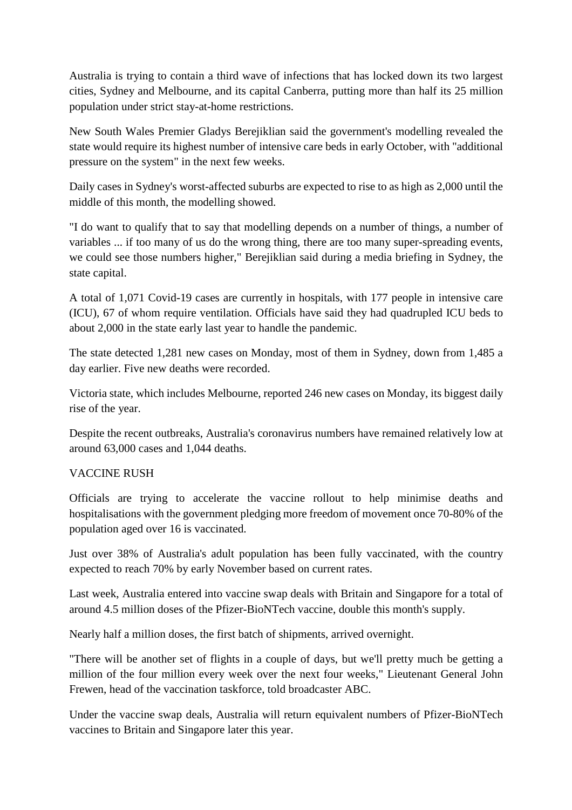Australia is trying to contain a third wave of infections that has locked down its two largest cities, Sydney and Melbourne, and its capital Canberra, putting more than half its 25 million population under strict stay-at-home restrictions.

New South Wales Premier Gladys Berejiklian said the government's modelling revealed the state would require its highest number of intensive care beds in early October, with "additional pressure on the system" in the next few weeks.

Daily cases in Sydney's worst-affected suburbs are expected to rise to as high as 2,000 until the middle of this month, the modelling showed.

"I do want to qualify that to say that modelling depends on a number of things, a number of variables ... if too many of us do the wrong thing, there are too many super-spreading events, we could see those numbers higher," Berejiklian said during a media briefing in Sydney, the state capital.

A total of 1,071 Covid-19 cases are currently in hospitals, with 177 people in intensive care (ICU), 67 of whom require ventilation. Officials have said they had quadrupled ICU beds to about 2,000 in the state early last year to handle the pandemic.

The state detected 1,281 new cases on Monday, most of them in Sydney, down from 1,485 a day earlier. Five new deaths were recorded.

Victoria state, which includes Melbourne, reported 246 new cases on Monday, its biggest daily rise of the year.

Despite the recent outbreaks, Australia's coronavirus numbers have remained relatively low at around 63,000 cases and 1,044 deaths.

#### VACCINE RUSH

Officials are trying to accelerate the vaccine rollout to help minimise deaths and hospitalisations with the government pledging more freedom of movement once 70-80% of the population aged over 16 is vaccinated.

Just over 38% of Australia's adult population has been fully vaccinated, with the country expected to reach 70% by early November based on current rates.

Last week, Australia entered into vaccine swap deals with Britain and Singapore for a total of around 4.5 million doses of the Pfizer-BioNTech vaccine, double this month's supply.

Nearly half a million doses, the first batch of shipments, arrived overnight.

"There will be another set of flights in a couple of days, but we'll pretty much be getting a million of the four million every week over the next four weeks," Lieutenant General John Frewen, head of the vaccination taskforce, told broadcaster ABC.

Under the vaccine swap deals, Australia will return equivalent numbers of Pfizer-BioNTech vaccines to Britain and Singapore later this year.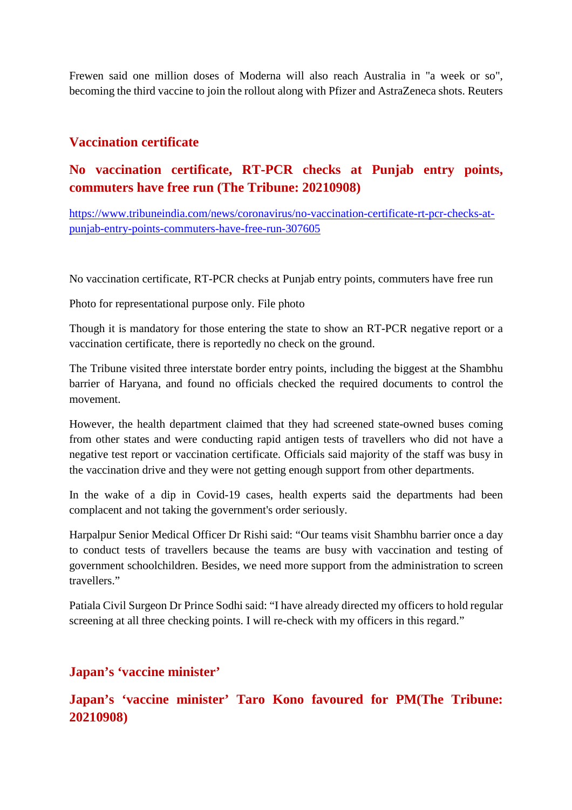Frewen said one million doses of Moderna will also reach Australia in "a week or so", becoming the third vaccine to join the rollout along with Pfizer and AstraZeneca shots. Reuters

#### **Vaccination certificate**

## **No vaccination certificate, RT-PCR checks at Punjab entry points, commuters have free run (The Tribune: 20210908)**

https://www.tribuneindia.com/news/coronavirus/no-vaccination-certificate-rt-pcr-checks-atpunjab-entry-points-commuters-have-free-run-307605

No vaccination certificate, RT-PCR checks at Punjab entry points, commuters have free run

Photo for representational purpose only. File photo

Though it is mandatory for those entering the state to show an RT-PCR negative report or a vaccination certificate, there is reportedly no check on the ground.

The Tribune visited three interstate border entry points, including the biggest at the Shambhu barrier of Haryana, and found no officials checked the required documents to control the movement.

However, the health department claimed that they had screened state-owned buses coming from other states and were conducting rapid antigen tests of travellers who did not have a negative test report or vaccination certificate. Officials said majority of the staff was busy in the vaccination drive and they were not getting enough support from other departments.

In the wake of a dip in Covid-19 cases, health experts said the departments had been complacent and not taking the government's order seriously.

Harpalpur Senior Medical Officer Dr Rishi said: "Our teams visit Shambhu barrier once a day to conduct tests of travellers because the teams are busy with vaccination and testing of government schoolchildren. Besides, we need more support from the administration to screen travellers."

Patiala Civil Surgeon Dr Prince Sodhi said: "I have already directed my officers to hold regular screening at all three checking points. I will re-check with my officers in this regard."

#### **Japan's 'vaccine minister'**

**Japan's 'vaccine minister' Taro Kono favoured for PM(The Tribune: 20210908)**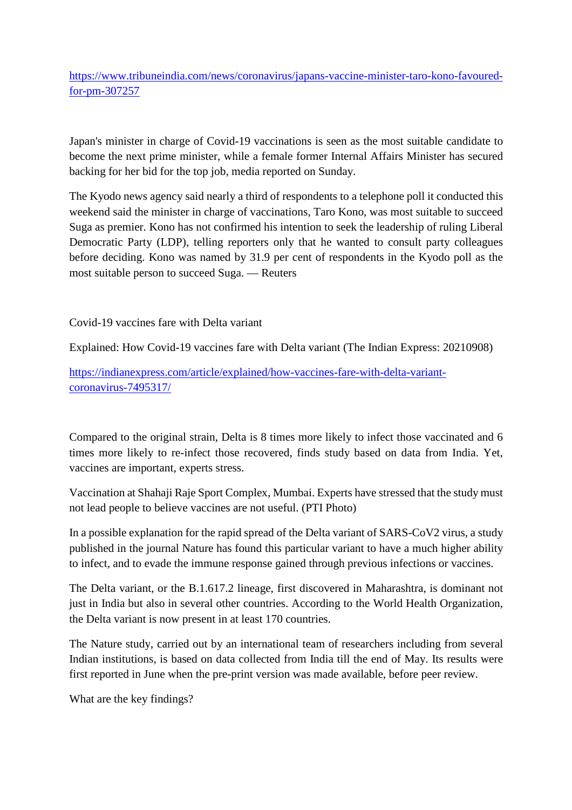https://www.tribuneindia.com/news/coronavirus/japans-vaccine-minister-taro-kono-favouredfor-pm-307257

Japan's minister in charge of Covid-19 vaccinations is seen as the most suitable candidate to become the next prime minister, while a female former Internal Affairs Minister has secured backing for her bid for the top job, media reported on Sunday.

The Kyodo news agency said nearly a third of respondents to a telephone poll it conducted this weekend said the minister in charge of vaccinations, Taro Kono, was most suitable to succeed Suga as premier. Kono has not confirmed his intention to seek the leadership of ruling Liberal Democratic Party (LDP), telling reporters only that he wanted to consult party colleagues before deciding. Kono was named by 31.9 per cent of respondents in the Kyodo poll as the most suitable person to succeed Suga. — Reuters

Covid-19 vaccines fare with Delta variant

Explained: How Covid-19 vaccines fare with Delta variant (The Indian Express: 20210908)

https://indianexpress.com/article/explained/how-vaccines-fare-with-delta-variantcoronavirus-7495317/

Compared to the original strain, Delta is 8 times more likely to infect those vaccinated and 6 times more likely to re-infect those recovered, finds study based on data from India. Yet, vaccines are important, experts stress.

Vaccination at Shahaji Raje Sport Complex, Mumbai. Experts have stressed that the study must not lead people to believe vaccines are not useful. (PTI Photo)

In a possible explanation for the rapid spread of the Delta variant of SARS-CoV2 virus, a study published in the journal Nature has found this particular variant to have a much higher ability to infect, and to evade the immune response gained through previous infections or vaccines.

The Delta variant, or the B.1.617.2 lineage, first discovered in Maharashtra, is dominant not just in India but also in several other countries. According to the World Health Organization, the Delta variant is now present in at least 170 countries.

The Nature study, carried out by an international team of researchers including from several Indian institutions, is based on data collected from India till the end of May. Its results were first reported in June when the pre-print version was made available, before peer review.

What are the key findings?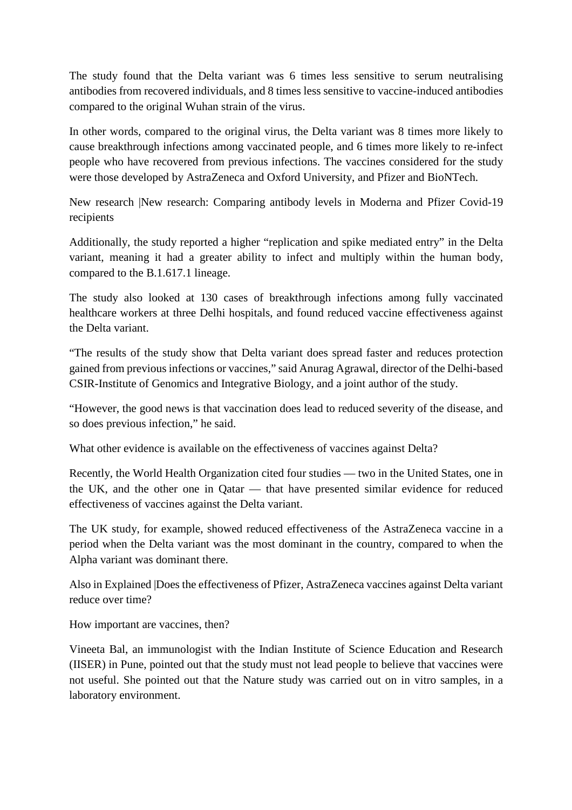The study found that the Delta variant was 6 times less sensitive to serum neutralising antibodies from recovered individuals, and 8 times less sensitive to vaccine-induced antibodies compared to the original Wuhan strain of the virus.

In other words, compared to the original virus, the Delta variant was 8 times more likely to cause breakthrough infections among vaccinated people, and 6 times more likely to re-infect people who have recovered from previous infections. The vaccines considered for the study were those developed by AstraZeneca and Oxford University, and Pfizer and BioNTech.

New research |New research: Comparing antibody levels in Moderna and Pfizer Covid-19 recipients

Additionally, the study reported a higher "replication and spike mediated entry" in the Delta variant, meaning it had a greater ability to infect and multiply within the human body, compared to the B.1.617.1 lineage.

The study also looked at 130 cases of breakthrough infections among fully vaccinated healthcare workers at three Delhi hospitals, and found reduced vaccine effectiveness against the Delta variant.

"The results of the study show that Delta variant does spread faster and reduces protection gained from previous infections or vaccines," said Anurag Agrawal, director of the Delhi-based CSIR-Institute of Genomics and Integrative Biology, and a joint author of the study.

"However, the good news is that vaccination does lead to reduced severity of the disease, and so does previous infection," he said.

What other evidence is available on the effectiveness of vaccines against Delta?

Recently, the World Health Organization cited four studies — two in the United States, one in the UK, and the other one in Qatar — that have presented similar evidence for reduced effectiveness of vaccines against the Delta variant.

The UK study, for example, showed reduced effectiveness of the AstraZeneca vaccine in a period when the Delta variant was the most dominant in the country, compared to when the Alpha variant was dominant there.

Also in Explained |Does the effectiveness of Pfizer, AstraZeneca vaccines against Delta variant reduce over time?

How important are vaccines, then?

Vineeta Bal, an immunologist with the Indian Institute of Science Education and Research (IISER) in Pune, pointed out that the study must not lead people to believe that vaccines were not useful. She pointed out that the Nature study was carried out on in vitro samples, in a laboratory environment.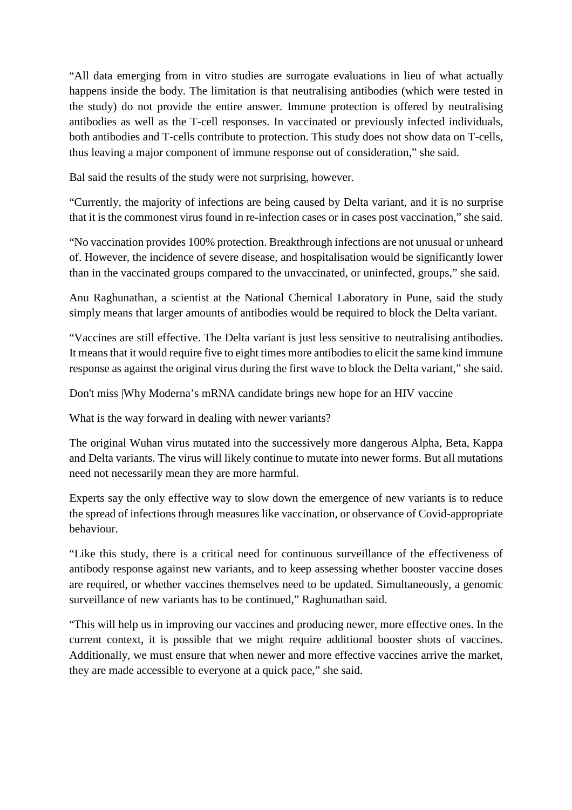"All data emerging from in vitro studies are surrogate evaluations in lieu of what actually happens inside the body. The limitation is that neutralising antibodies (which were tested in the study) do not provide the entire answer. Immune protection is offered by neutralising antibodies as well as the T-cell responses. In vaccinated or previously infected individuals, both antibodies and T-cells contribute to protection. This study does not show data on T-cells, thus leaving a major component of immune response out of consideration," she said.

Bal said the results of the study were not surprising, however.

"Currently, the majority of infections are being caused by Delta variant, and it is no surprise that it is the commonest virus found in re-infection cases or in cases post vaccination," she said.

"No vaccination provides 100% protection. Breakthrough infections are not unusual or unheard of. However, the incidence of severe disease, and hospitalisation would be significantly lower than in the vaccinated groups compared to the unvaccinated, or uninfected, groups," she said.

Anu Raghunathan, a scientist at the National Chemical Laboratory in Pune, said the study simply means that larger amounts of antibodies would be required to block the Delta variant.

"Vaccines are still effective. The Delta variant is just less sensitive to neutralising antibodies. It means that it would require five to eight times more antibodies to elicit the same kind immune response as against the original virus during the first wave to block the Delta variant," she said.

Don't miss |Why Moderna's mRNA candidate brings new hope for an HIV vaccine

What is the way forward in dealing with newer variants?

The original Wuhan virus mutated into the successively more dangerous Alpha, Beta, Kappa and Delta variants. The virus will likely continue to mutate into newer forms. But all mutations need not necessarily mean they are more harmful.

Experts say the only effective way to slow down the emergence of new variants is to reduce the spread of infections through measures like vaccination, or observance of Covid-appropriate behaviour.

"Like this study, there is a critical need for continuous surveillance of the effectiveness of antibody response against new variants, and to keep assessing whether booster vaccine doses are required, or whether vaccines themselves need to be updated. Simultaneously, a genomic surveillance of new variants has to be continued," Raghunathan said.

"This will help us in improving our vaccines and producing newer, more effective ones. In the current context, it is possible that we might require additional booster shots of vaccines. Additionally, we must ensure that when newer and more effective vaccines arrive the market, they are made accessible to everyone at a quick pace," she said.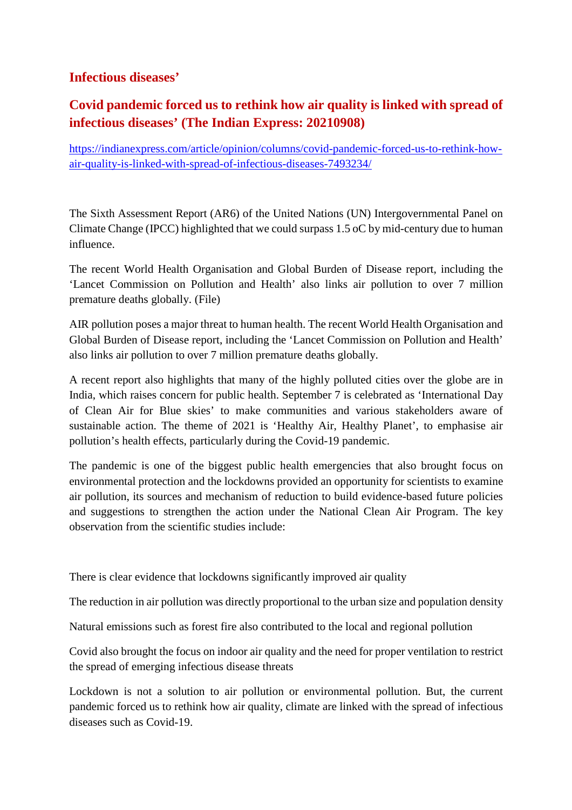#### **Infectious diseases'**

## **Covid pandemic forced us to rethink how air quality is linked with spread of infectious diseases' (The Indian Express: 20210908)**

https://indianexpress.com/article/opinion/columns/covid-pandemic-forced-us-to-rethink-howair-quality-is-linked-with-spread-of-infectious-diseases-7493234/

The Sixth Assessment Report (AR6) of the United Nations (UN) Intergovernmental Panel on Climate Change (IPCC) highlighted that we could surpass 1.5 oC by mid-century due to human influence.

The recent World Health Organisation and Global Burden of Disease report, including the 'Lancet Commission on Pollution and Health' also links air pollution to over 7 million premature deaths globally. (File)

AIR pollution poses a major threat to human health. The recent World Health Organisation and Global Burden of Disease report, including the 'Lancet Commission on Pollution and Health' also links air pollution to over 7 million premature deaths globally.

A recent report also highlights that many of the highly polluted cities over the globe are in India, which raises concern for public health. September 7 is celebrated as 'International Day of Clean Air for Blue skies' to make communities and various stakeholders aware of sustainable action. The theme of 2021 is 'Healthy Air, Healthy Planet', to emphasise air pollution's health effects, particularly during the Covid-19 pandemic.

The pandemic is one of the biggest public health emergencies that also brought focus on environmental protection and the lockdowns provided an opportunity for scientists to examine air pollution, its sources and mechanism of reduction to build evidence-based future policies and suggestions to strengthen the action under the National Clean Air Program. The key observation from the scientific studies include:

There is clear evidence that lockdowns significantly improved air quality

The reduction in air pollution was directly proportional to the urban size and population density

Natural emissions such as forest fire also contributed to the local and regional pollution

Covid also brought the focus on indoor air quality and the need for proper ventilation to restrict the spread of emerging infectious disease threats

Lockdown is not a solution to air pollution or environmental pollution. But, the current pandemic forced us to rethink how air quality, climate are linked with the spread of infectious diseases such as Covid-19.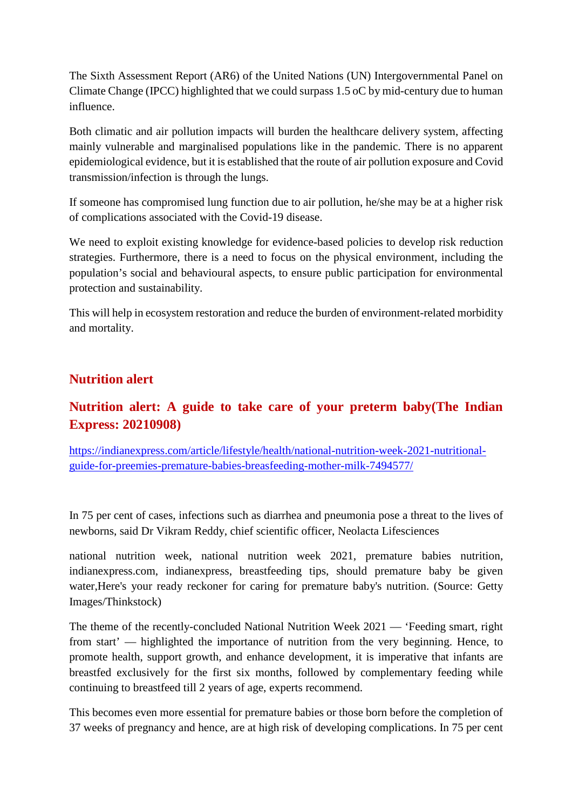The Sixth Assessment Report (AR6) of the United Nations (UN) Intergovernmental Panel on Climate Change (IPCC) highlighted that we could surpass 1.5 oC by mid-century due to human influence.

Both climatic and air pollution impacts will burden the healthcare delivery system, affecting mainly vulnerable and marginalised populations like in the pandemic. There is no apparent epidemiological evidence, but it is established that the route of air pollution exposure and Covid transmission/infection is through the lungs.

If someone has compromised lung function due to air pollution, he/she may be at a higher risk of complications associated with the Covid-19 disease.

We need to exploit existing knowledge for evidence-based policies to develop risk reduction strategies. Furthermore, there is a need to focus on the physical environment, including the population's social and behavioural aspects, to ensure public participation for environmental protection and sustainability.

This will help in ecosystem restoration and reduce the burden of environment-related morbidity and mortality.

#### **Nutrition alert**

## **Nutrition alert: A guide to take care of your preterm baby(The Indian Express: 20210908)**

https://indianexpress.com/article/lifestyle/health/national-nutrition-week-2021-nutritionalguide-for-preemies-premature-babies-breasfeeding-mother-milk-7494577/

In 75 per cent of cases, infections such as diarrhea and pneumonia pose a threat to the lives of newborns, said Dr Vikram Reddy, chief scientific officer, Neolacta Lifesciences

national nutrition week, national nutrition week 2021, premature babies nutrition, indianexpress.com, indianexpress, breastfeeding tips, should premature baby be given water,Here's your ready reckoner for caring for premature baby's nutrition. (Source: Getty Images/Thinkstock)

The theme of the recently-concluded National Nutrition Week 2021 — 'Feeding smart, right from start' — highlighted the importance of nutrition from the very beginning. Hence, to promote health, support growth, and enhance development, it is imperative that infants are breastfed exclusively for the first six months, followed by complementary feeding while continuing to breastfeed till 2 years of age, experts recommend.

This becomes even more essential for premature babies or those born before the completion of 37 weeks of pregnancy and hence, are at high risk of developing complications. In 75 per cent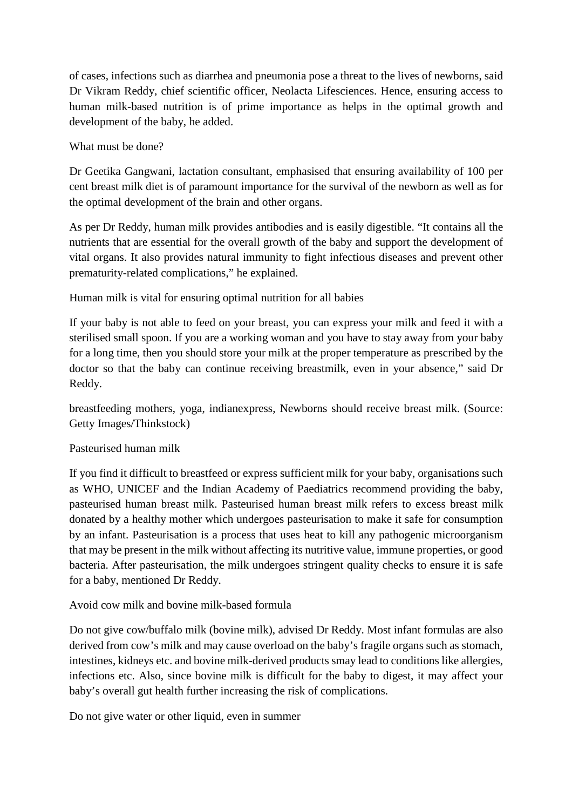of cases, infections such as diarrhea and pneumonia pose a threat to the lives of newborns, said Dr Vikram Reddy, chief scientific officer, Neolacta Lifesciences. Hence, ensuring access to human milk-based nutrition is of prime importance as helps in the optimal growth and development of the baby, he added.

What must be done?

Dr Geetika Gangwani, lactation consultant, emphasised that ensuring availability of 100 per cent breast milk diet is of paramount importance for the survival of the newborn as well as for the optimal development of the brain and other organs.

As per Dr Reddy, human milk provides antibodies and is easily digestible. "It contains all the nutrients that are essential for the overall growth of the baby and support the development of vital organs. It also provides natural immunity to fight infectious diseases and prevent other prematurity-related complications," he explained.

Human milk is vital for ensuring optimal nutrition for all babies

If your baby is not able to feed on your breast, you can express your milk and feed it with a sterilised small spoon. If you are a working woman and you have to stay away from your baby for a long time, then you should store your milk at the proper temperature as prescribed by the doctor so that the baby can continue receiving breastmilk, even in your absence," said Dr Reddy.

breastfeeding mothers, yoga, indianexpress, Newborns should receive breast milk. (Source: Getty Images/Thinkstock)

Pasteurised human milk

If you find it difficult to breastfeed or express sufficient milk for your baby, organisations such as WHO, UNICEF and the Indian Academy of Paediatrics recommend providing the baby, pasteurised human breast milk. Pasteurised human breast milk refers to excess breast milk donated by a healthy mother which undergoes pasteurisation to make it safe for consumption by an infant. Pasteurisation is a process that uses heat to kill any pathogenic microorganism that may be present in the milk without affecting its nutritive value, immune properties, or good bacteria. After pasteurisation, the milk undergoes stringent quality checks to ensure it is safe for a baby, mentioned Dr Reddy.

Avoid cow milk and bovine milk-based formula

Do not give cow/buffalo milk (bovine milk), advised Dr Reddy. Most infant formulas are also derived from cow's milk and may cause overload on the baby's fragile organs such as stomach, intestines, kidneys etc. and bovine milk-derived products smay lead to conditions like allergies, infections etc. Also, since bovine milk is difficult for the baby to digest, it may affect your baby's overall gut health further increasing the risk of complications.

Do not give water or other liquid, even in summer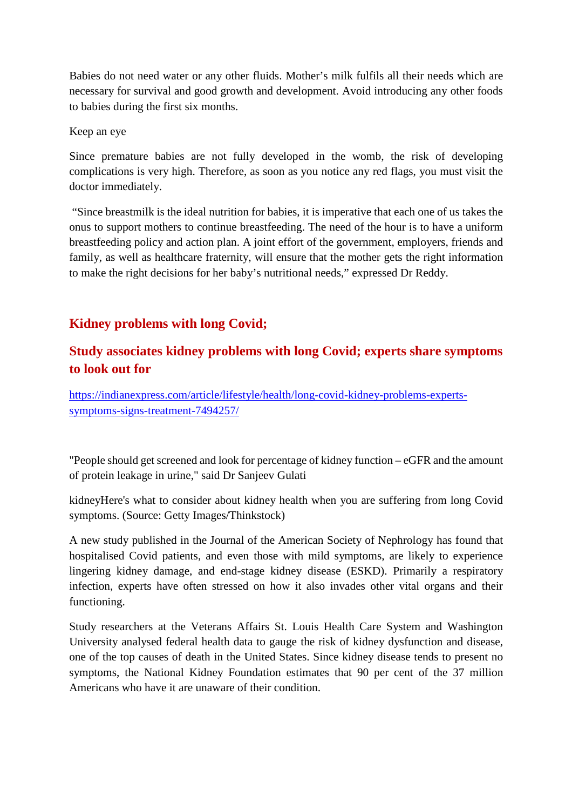Babies do not need water or any other fluids. Mother's milk fulfils all their needs which are necessary for survival and good growth and development. Avoid introducing any other foods to babies during the first six months.

#### Keep an eye

Since premature babies are not fully developed in the womb, the risk of developing complications is very high. Therefore, as soon as you notice any red flags, you must visit the doctor immediately.

"Since breastmilk is the ideal nutrition for babies, it is imperative that each one of us takes the onus to support mothers to continue breastfeeding. The need of the hour is to have a uniform breastfeeding policy and action plan. A joint effort of the government, employers, friends and family, as well as healthcare fraternity, will ensure that the mother gets the right information to make the right decisions for her baby's nutritional needs," expressed Dr Reddy.

#### **Kidney problems with long Covid;**

## **Study associates kidney problems with long Covid; experts share symptoms to look out for**

https://indianexpress.com/article/lifestyle/health/long-covid-kidney-problems-expertssymptoms-signs-treatment-7494257/

"People should get screened and look for percentage of kidney function – eGFR and the amount of protein leakage in urine," said Dr Sanjeev Gulati

kidneyHere's what to consider about kidney health when you are suffering from long Covid symptoms. (Source: Getty Images/Thinkstock)

A new study published in the Journal of the American Society of Nephrology has found that hospitalised Covid patients, and even those with mild symptoms, are likely to experience lingering kidney damage, and end-stage kidney disease (ESKD). Primarily a respiratory infection, experts have often stressed on how it also invades other vital organs and their functioning.

Study researchers at the Veterans Affairs St. Louis Health Care System and Washington University analysed federal health data to gauge the risk of kidney dysfunction and disease, one of the top causes of death in the United States. Since kidney disease tends to present no symptoms, the National Kidney Foundation estimates that 90 per cent of the 37 million Americans who have it are unaware of their condition.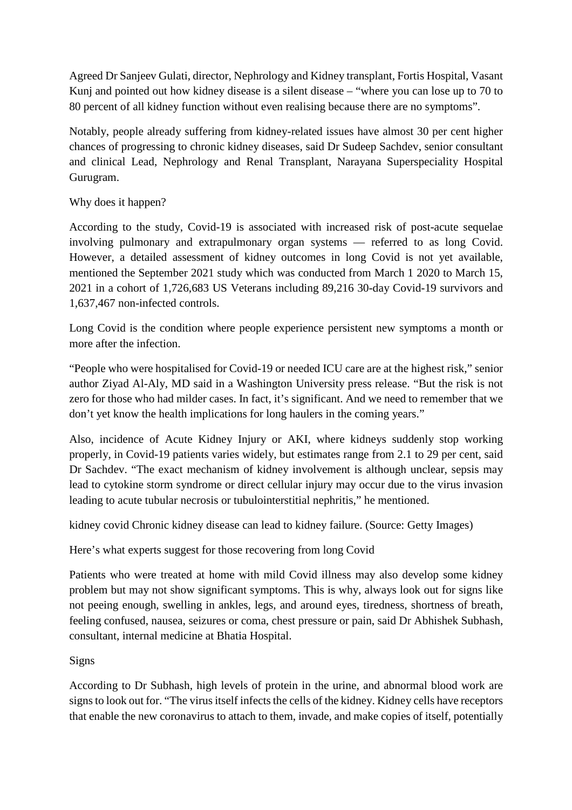Agreed Dr Sanjeev Gulati, director, Nephrology and Kidney transplant, Fortis Hospital, Vasant Kunj and pointed out how kidney disease is a silent disease – "where you can lose up to 70 to 80 percent of all kidney function without even realising because there are no symptoms".

Notably, people already suffering from kidney-related issues have almost 30 per cent higher chances of progressing to chronic kidney diseases, said Dr Sudeep Sachdev, senior consultant and clinical Lead, Nephrology and Renal Transplant, Narayana Superspeciality Hospital Gurugram.

#### Why does it happen?

According to the study, Covid-19 is associated with increased risk of post-acute sequelae involving pulmonary and extrapulmonary organ systems — referred to as long Covid. However, a detailed assessment of kidney outcomes in long Covid is not yet available, mentioned the September 2021 study which was conducted from March 1 2020 to March 15, 2021 in a cohort of 1,726,683 US Veterans including 89,216 30-day Covid-19 survivors and 1,637,467 non-infected controls.

Long Covid is the condition where people experience persistent new symptoms a month or more after the infection.

"People who were hospitalised for Covid-19 or needed ICU care are at the highest risk," senior author Ziyad Al-Aly, MD said in a Washington University press release. "But the risk is not zero for those who had milder cases. In fact, it's significant. And we need to remember that we don't yet know the health implications for long haulers in the coming years."

Also, incidence of Acute Kidney Injury or AKI, where kidneys suddenly stop working properly, in Covid-19 patients varies widely, but estimates range from 2.1 to 29 per cent, said Dr Sachdev. "The exact mechanism of kidney involvement is although unclear, sepsis may lead to cytokine storm syndrome or direct cellular injury may occur due to the virus invasion leading to acute tubular necrosis or tubulointerstitial nephritis," he mentioned.

kidney covid Chronic kidney disease can lead to kidney failure. (Source: Getty Images)

Here's what experts suggest for those recovering from long Covid

Patients who were treated at home with mild Covid illness may also develop some kidney problem but may not show significant symptoms. This is why, always look out for signs like not peeing enough, swelling in ankles, legs, and around eyes, tiredness, shortness of breath, feeling confused, nausea, seizures or coma, chest pressure or pain, said Dr Abhishek Subhash, consultant, internal medicine at Bhatia Hospital.

#### Signs

According to Dr Subhash, high levels of protein in the urine, and abnormal blood work are signs to look out for. "The virus itself infects the cells of the kidney. Kidney cells have receptors that enable the new coronavirus to attach to them, invade, and make copies of itself, potentially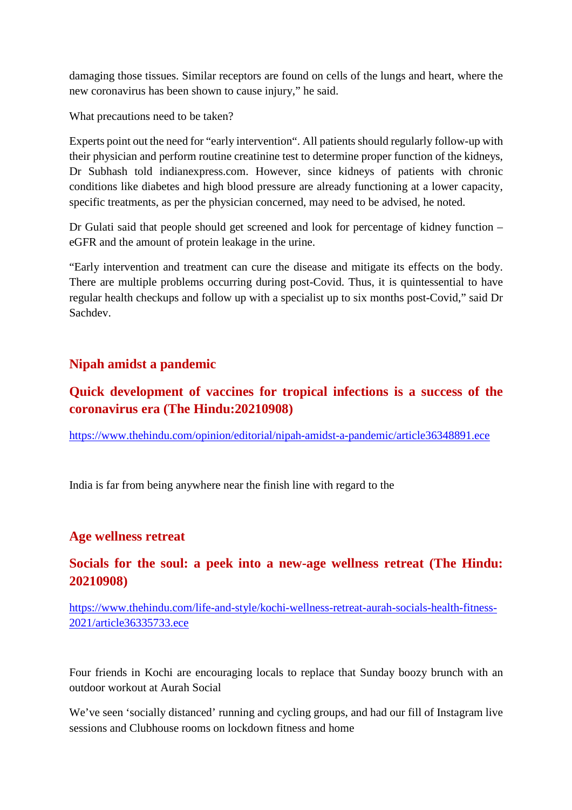damaging those tissues. Similar receptors are found on cells of the lungs and heart, where the new coronavirus has been shown to cause injury," he said.

What precautions need to be taken?

Experts point out the need for "early intervention". All patients should regularly follow-up with their physician and perform routine creatinine test to determine proper function of the kidneys, Dr Subhash told indianexpress.com. However, since kidneys of patients with chronic conditions like diabetes and high blood pressure are already functioning at a lower capacity, specific treatments, as per the physician concerned, may need to be advised, he noted.

Dr Gulati said that people should get screened and look for percentage of kidney function – eGFR and the amount of protein leakage in the urine.

"Early intervention and treatment can cure the disease and mitigate its effects on the body. There are multiple problems occurring during post-Covid. Thus, it is quintessential to have regular health checkups and follow up with a specialist up to six months post-Covid," said Dr Sachdev.

#### **Nipah amidst a pandemic**

#### **Quick development of vaccines for tropical infections is a success of the coronavirus era (The Hindu:20210908)**

https://www.thehindu.com/opinion/editorial/nipah-amidst-a-pandemic/article36348891.ece

India is far from being anywhere near the finish line with regard to the

#### **Age wellness retreat**

#### **Socials for the soul: a peek into a new-age wellness retreat (The Hindu: 20210908)**

https://www.thehindu.com/life-and-style/kochi-wellness-retreat-aurah-socials-health-fitness-2021/article36335733.ece

Four friends in Kochi are encouraging locals to replace that Sunday boozy brunch with an outdoor workout at Aurah Social

We've seen 'socially distanced' running and cycling groups, and had our fill of Instagram live sessions and Clubhouse rooms on lockdown fitness and home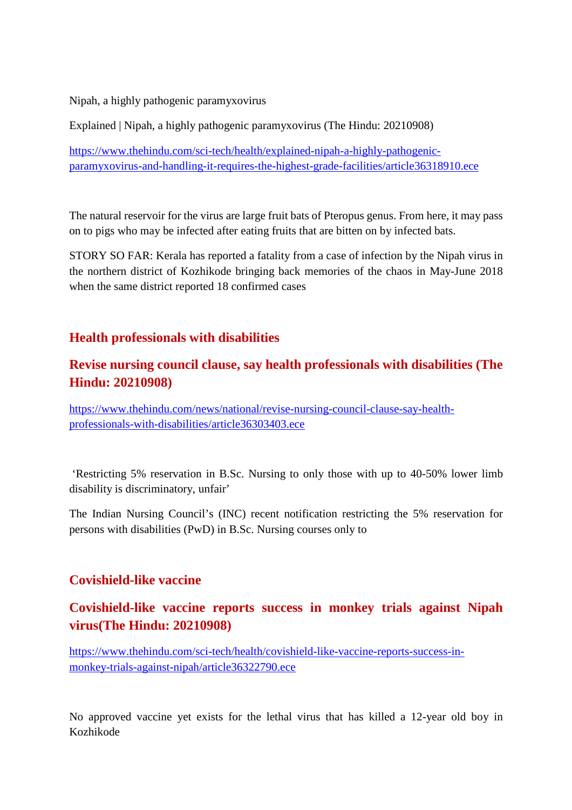Nipah, a highly pathogenic paramyxovirus

Explained | Nipah, a highly pathogenic paramyxovirus (The Hindu: 20210908)

https://www.thehindu.com/sci-tech/health/explained-nipah-a-highly-pathogenicparamyxovirus-and-handling-it-requires-the-highest-grade-facilities/article36318910.ece

The natural reservoir for the virus are large fruit bats of Pteropus genus. From here, it may pass on to pigs who may be infected after eating fruits that are bitten on by infected bats.

STORY SO FAR: Kerala has reported a fatality from a case of infection by the Nipah virus in the northern district of Kozhikode bringing back memories of the chaos in May-June 2018 when the same district reported 18 confirmed cases

#### **Health professionals with disabilities**

#### **Revise nursing council clause, say health professionals with disabilities (The Hindu: 20210908)**

https://www.thehindu.com/news/national/revise-nursing-council-clause-say-healthprofessionals-with-disabilities/article36303403.ece

'Restricting 5% reservation in B.Sc. Nursing to only those with up to 40-50% lower limb disability is discriminatory, unfair'

The Indian Nursing Council's (INC) recent notification restricting the 5% reservation for persons with disabilities (PwD) in B.Sc. Nursing courses only to

#### **Covishield-like vaccine**

#### **Covishield-like vaccine reports success in monkey trials against Nipah virus(The Hindu: 20210908)**

https://www.thehindu.com/sci-tech/health/covishield-like-vaccine-reports-success-inmonkey-trials-against-nipah/article36322790.ece

No approved vaccine yet exists for the lethal virus that has killed a 12-year old boy in Kozhikode